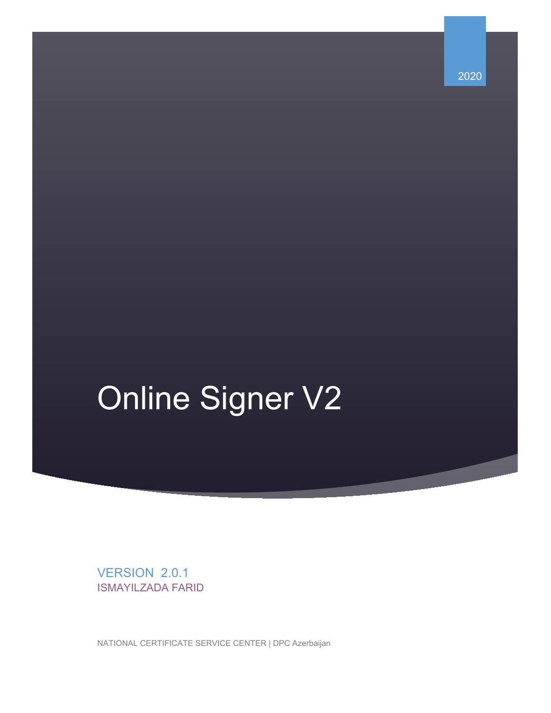2020

# Online Signer V2

VERSION 2.0.1 ISMAYILZADA FARID

NATIONAL CERTIFICATE SERVICE CENTER | DPC Azerbaijan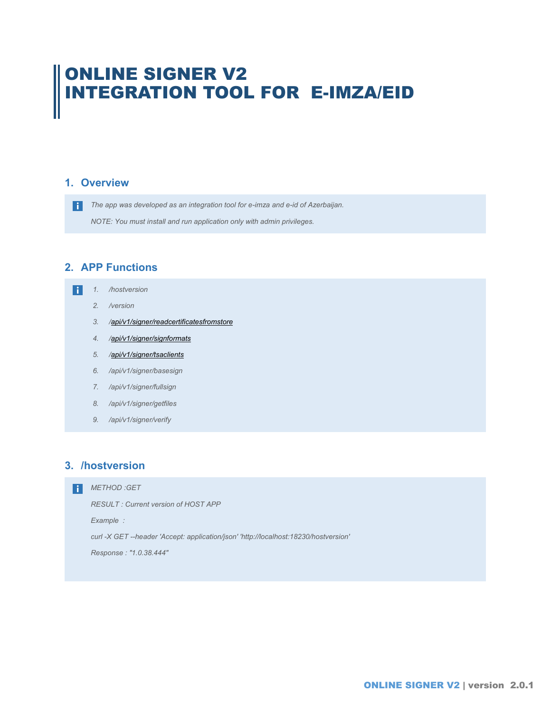## ONLINE SIGNER V2 INTEGRATION TOOL FOR E-IMZA/EID

#### **1. Overview**

*The app was developed as an integration tool for e-imza and e-id of Azerbaijan. NOTE: You must install and run application only with admin privileges.* 

## **2. APP Functions**

- *1. /hostversion* 
	- *2. /version*
	- *3. [/api/v1/signer/readcertificatesfromstore](http://localhost:18230/swagger/ui/index#!/Signer/Signer_BaseSign)*
	- *4. [/api/v1/signer/signformats](http://localhost:18230/swagger/ui/index#!/Signer/Signer_BaseSign)*
	- *5. [/api/v1/signer/tsaclients](http://localhost:18230/swagger/ui/index#!/Signer/Signer_BaseSign)*
	- *6. /api/v1/signer/basesign*
	- *7. /api/v1/signer/fullsign*
	- *8. /api/v1/signer/getfiles*
	- *9. /api/v1/signer/verify*

#### **3. /hostversion**

**R** *METHOD :GET* 

*RESULT : Current version of HOST APP* 

*Example :* 

*curl -X GET --header 'Accept: application/json' 'http://localhost:18230/hostversion'* 

*Response : "1.0.38.444"*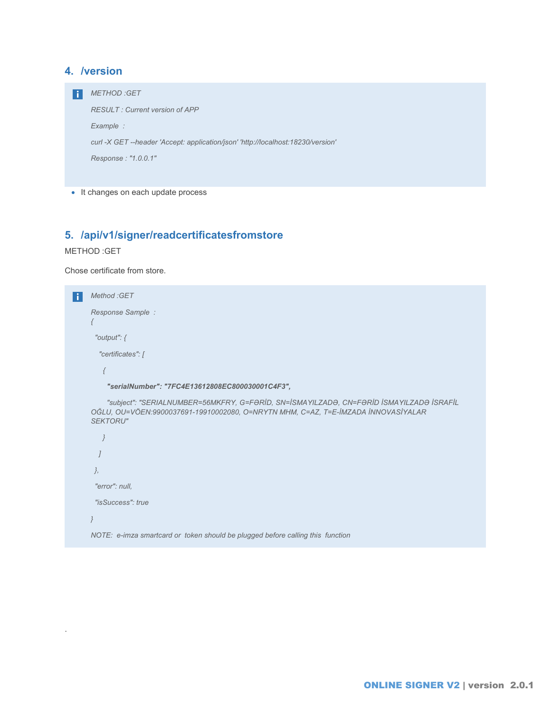### **4. /version**

*METHOD :GET RESULT : Current version of APP Example : curl -X GET --header 'Accept: application/json' 'http://localhost:18230/version' Response : "1.0.0.1"* 

• It changes on each update process

## **5. /api/v1/signer/readcertificatesfromstore**

#### METHOD :GET

.

Chose certificate from store.

```
Method :GET 
    Response Sample : 
    {
       "output": { 
        "certificates": [ 
         { 
          "serialNumber": "7FC4E13612808EC800030001C4F3", 
          "subject": "SERIALNUMBER=56MKFRY, G=FƏRİD, SN=İSMAYILZADƏ, CN=FƏRİD İSMAYILZADƏ İSRAFİL 
    OĞLU, OU=VÖEN:9900037691-19910002080, O=NRYTN MHM, C=AZ, T=E-İMZADA İNNOVASİYALAR 
    SEKTORU"
        } 
       ] 
      },
       "error": null,
       "isSuccess": true 
    }
    NOTE: e-imza smartcard or token should be plugged before calling this function
```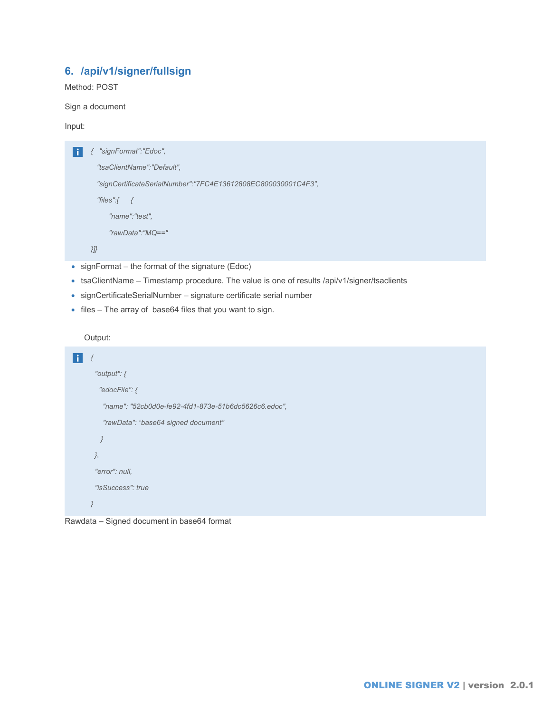## **6. /api/v1/signer/fullsign**

Method: POST

Sign a document

Input:

```
{ "signFormat":"Edoc",
```
 *"tsaClientName":"Default",* 

 *"signCertificateSerialNumber":"7FC4E13612808EC800030001C4F3",*

```
 "files":[ {
```
 *"name":"test",*

 *"rawData":"MQ=="* 

*}]}*

- signFormat the format of the signature (Edoc)
- tsaClientName Timestamp procedure. The value is one of results /api/v1/signer/tsaclients
- signCertificateSerialNumber signature certificate serial number
- files The array of base64 files that you want to sign.

Output:

```
{
       "output": { 
        "edocFile": { 
         "name": "52cb0d0e-fe92-4fd1-873e-51b6dc5626c6.edoc", 
         "rawData": "base64 signed document"
         } 
       },
       "error": null,
        "isSuccess": true 
     }
```
Rawdata – Signed document in base64 format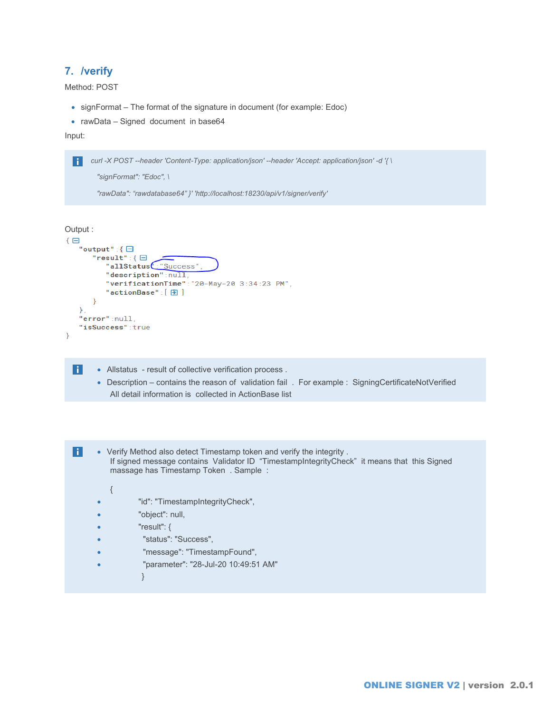## **7. /verify**

Method: POST

- signFormat The format of the signature in document (for example: Edoc)
- rawData Signed document in base64

Input:

H

*curl -X POST --header 'Content-Type: application/json' --header 'Accept: application/json' -d '{ \* H

```
 "signFormat": "Edoc", \
```
 *"rawData": "rawdatabase64" }' 'http://localhost:18230/api/v1/signer/verify'* 

```
Output :
\overline{\Theta}"output":\{\boxminus"result": {\boxminus"allStatus": "Success",
           "description":null,
           "verificationTime":"20-May-20 3:34:23 PM",
           "actionBase":[ ] ]\}\}.
    "error":null,
    "isSuccess":true
\mathcal{E}
```
- Allstatus result of collective verification process .
	- Description contains the reason of validation fail . For example : SigningCertificateNotVerified All detail information is collected in ActionBase list

 $\vert \cdot \vert$ • Verify Method also detect Timestamp token and verify the integrity . If signed message contains Validator ID "TimestampIntegrityCheck" it means that this Signed massage has Timestamp Token . Sample :

```
{
```
- "id": "TimestampIntegrityCheck",
- "object": null,
- " $result"$ : {
- "status": "Success",
- "message": "TimestampFound",
- "parameter": "28-Jul-20 10:49:51 AM"
	- }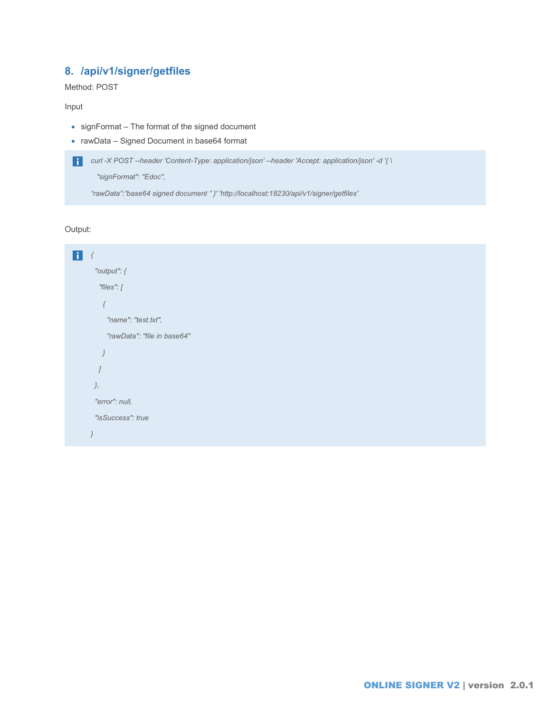## **8. /api/v1/signer/getfiles**

Method: POST

Input

- signFormat The format of the signed document
- rawData Signed Document in base64 format

```
curl -X POST --header 'Content-Type: application/json' --header 'Accept: application/json' -d '{ \
```
 *"signFormat": "Edoc",* 

*"rawData":"base64 signed document " }' 'http://localhost:18230/api/v1/signer/getfiles'* 

Output:

```
{
        "output": { 
         "files": [ 
           { 
           "name": "test.txt", 
           "rawData": "file in base64" 
          } 
         ] 
        },
        "error": null,
        "isSuccess": true 
     }
```